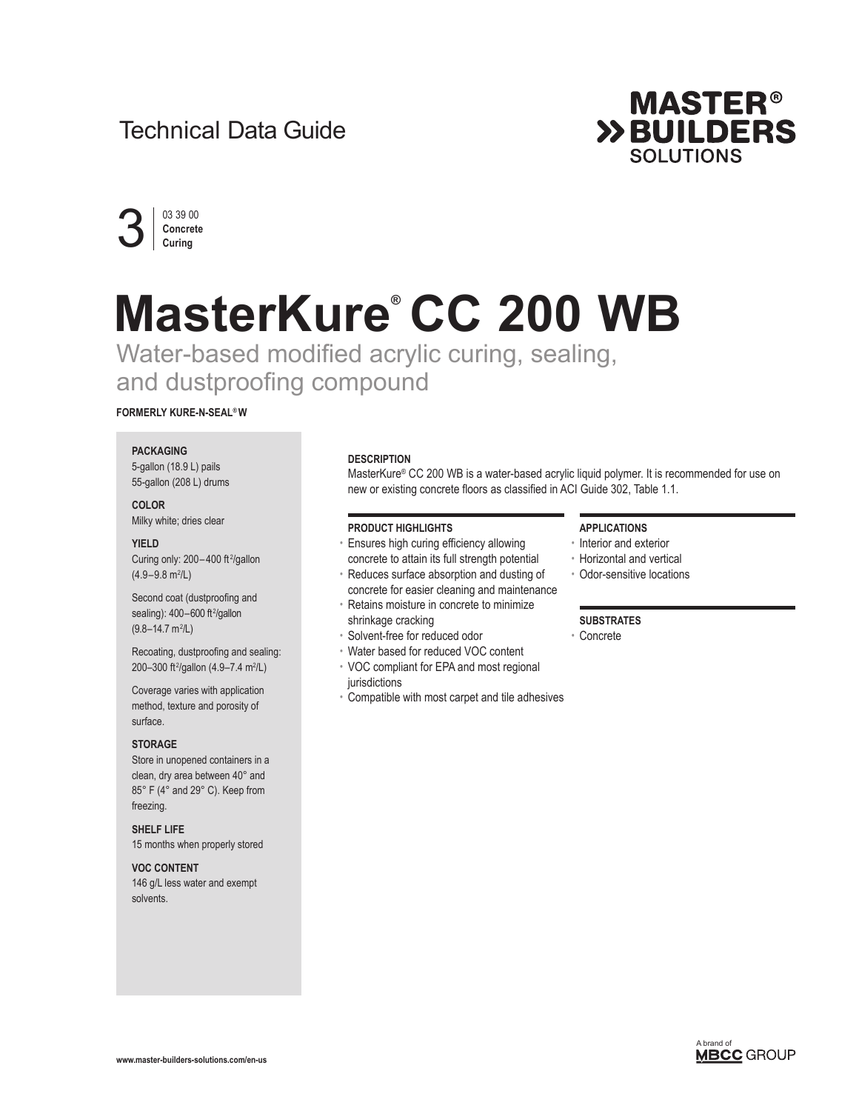# Technical Data Guide





# **MasterKure® CC 200 WB**

Water-based modified acrylic curing, sealing, and dustproofing compound

# **FORMERLY KURE-N-SEAL® W**

# **PACKAGING**

5-gallon (18.9 L) pails 55-gallon (208 L) drums

**COLOR** Milky white; dries clear

# **YIELD**

Curing only:  $200 - 400$  ft<sup>2</sup>/gallon  $(4.9 - 9.8 \text{ m}^2/\text{L})$ 

Second coat (dustproofing and sealing): 400-600 ft<sup>2</sup>/gallon  $(9.8 - 14.7 \text{ m}^2/\text{L})$ 

Recoating, dustproofing and sealing: 200–300 ft<sup>2</sup>/gallon (4.9–7.4 m<sup>2</sup>/L)

Coverage varies with application method, texture and porosity of surface.

# **STORAGE**

Store in unopened containers in a clean, dry area between 40° and 85° F (4° and 29° C). Keep from freezing.

**SHELF LIFE** 15 months when properly stored

# **VOC CONTENT**

146 g/L less water and exempt solvents.

# **DESCRIPTION**

MasterKure® CC 200 WB is a water-based acrylic liquid polymer. It is recommended for use on new or existing concrete floors as classified in ACI Guide 302, Table 1.1.

# **PRODUCT HIGHLIGHTS**

- Ensures high curing efficiency allowing concrete to attain its full strength potential
- Reduces surface absorption and dusting of concrete for easier cleaning and maintenance
- Retains moisture in concrete to minimize
- shrinkage cracking
- Solvent-free for reduced odor
- Water based for reduced VOC content
- VOC compliant for EPA and most regional jurisdictions
- Compatible with most carpet and tile adhesives

# **APPLICATIONS**

- Interior and exterior
- Horizontal and vertical
- Odor-sensitive locations

# **SUBSTRATES**

• Concrete

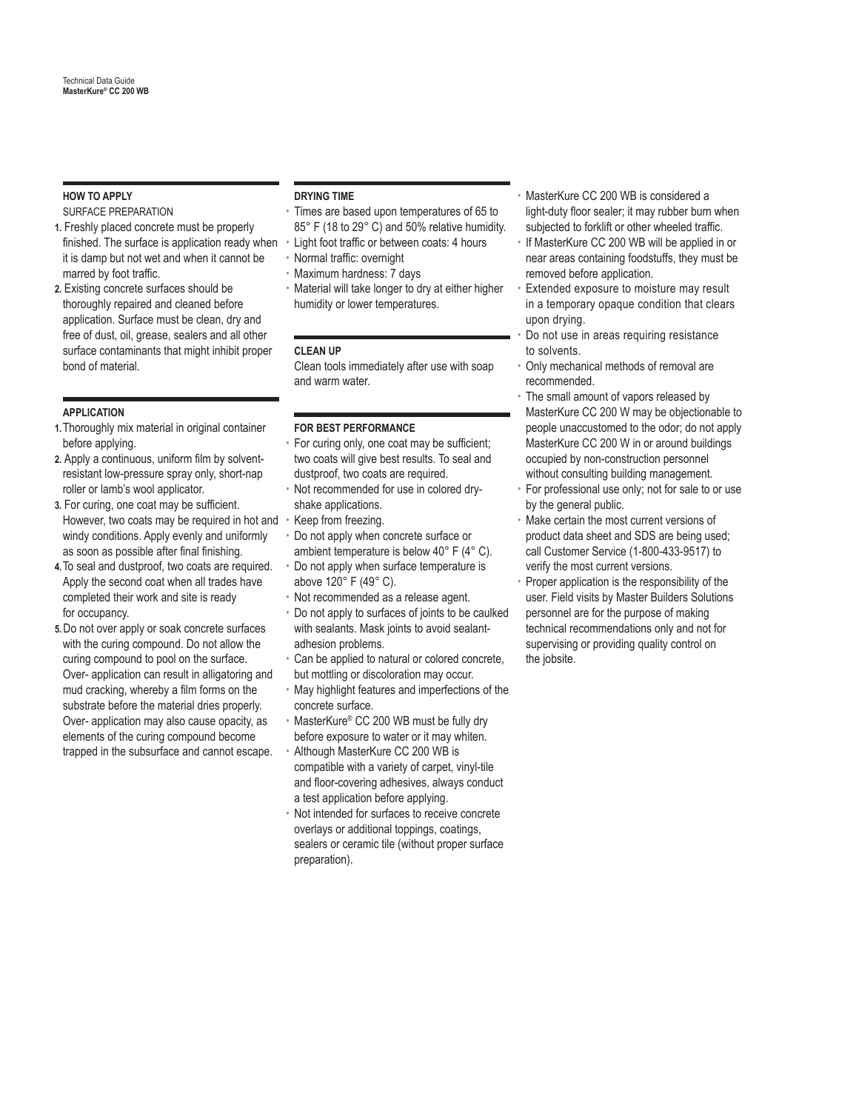# **HOW TO APPLY**

SURFACE PREPARATION

- finished. The surface is application ready when Light foot traffic or between coats: 4 hours **1.** Freshly placed concrete must be properly it is damp but not wet and when it cannot be marred by foot traffic.
- **2.** Existing concrete surfaces should be thoroughly repaired and cleaned before application. Surface must be clean, dry and free of dust, oil, grease, sealers and all other surface contaminants that might inhibit proper bond of material.

# **APPLICATION**

- **1.**Thoroughly mix material in original container before applying.
- **2.** Apply a continuous, uniform film by solventresistant low-pressure spray only, short-nap roller or lamb's wool applicator.
- However, two coats may be required in hot and Keep from freezing. **3.** For curing, one coat may be sufficient. windy conditions. Apply evenly and uniformly as soon as possible after final finishing.
- **4.**To seal and dustproof, two coats are required. Apply the second coat when all trades have completed their work and site is ready for occupancy.
- **5.** Do not over apply or soak concrete surfaces with the curing compound. Do not allow the curing compound to pool on the surface. Over- application can result in alligatoring and mud cracking, whereby a film forms on the substrate before the material dries properly. Over- application may also cause opacity, as elements of the curing compound become trapped in the subsurface and cannot escape.

# **DRYING TIME**

- Times are based upon temperatures of 65 to 85° F (18 to 29° C) and 50% relative humidity.
- 
- Normal traffic: overnight
- Maximum hardness: 7 days
- Material will take longer to dry at either higher humidity or lower temperatures.

# **CLEAN UP**

Clean tools immediately after use with soap and warm water.

# **FOR BEST PERFORMANCE**

- For curing only, one coat may be sufficient; two coats will give best results. To seal and dustproof, two coats are required.
- Not recommended for use in colored dryshake applications.
- 
- Do not apply when concrete surface or ambient temperature is below 40° F (4° C).
- Do not apply when surface temperature is above 120° F (49° C).
- Not recommended as a release agent.
- Do not apply to surfaces of joints to be caulked with sealants. Mask joints to avoid sealantadhesion problems.
- Can be applied to natural or colored concrete, but mottling or discoloration may occur.
- May highlight features and imperfections of the concrete surface.
- MasterKure® CC 200 WB must be fully dry before exposure to water or it may whiten.
- Although MasterKure CC 200 WB is compatible with a variety of carpet, vinyl-tile and floor-covering adhesives, always conduct a test application before applying.
- Not intended for surfaces to receive concrete overlays or additional toppings, coatings, sealers or ceramic tile (without proper surface preparation).
- MasterKure CC 200 WB is considered a light-duty floor sealer; it may rubber burn when subjected to forklift or other wheeled traffic.
- If MasterKure CC 200 WB will be applied in or near areas containing foodstuffs, they must be removed before application.
- Extended exposure to moisture may result in a temporary opaque condition that clears upon drying.
- Do not use in areas requiring resistance to solvents.
- Only mechanical methods of removal are recommended.
- The small amount of vapors released by MasterKure CC 200 W may be objectionable to people unaccustomed to the odor; do not apply MasterKure CC 200 W in or around buildings occupied by non-construction personnel without consulting building management.
- For professional use only; not for sale to or use by the general public.
- Make certain the most current versions of product data sheet and SDS are being used; call Customer Service (1-800-433-9517) to verify the most current versions.
- Proper application is the responsibility of the user. Field visits by Master Builders Solutions personnel are for the purpose of making technical recommendations only and not for supervising or providing quality control on the jobsite.